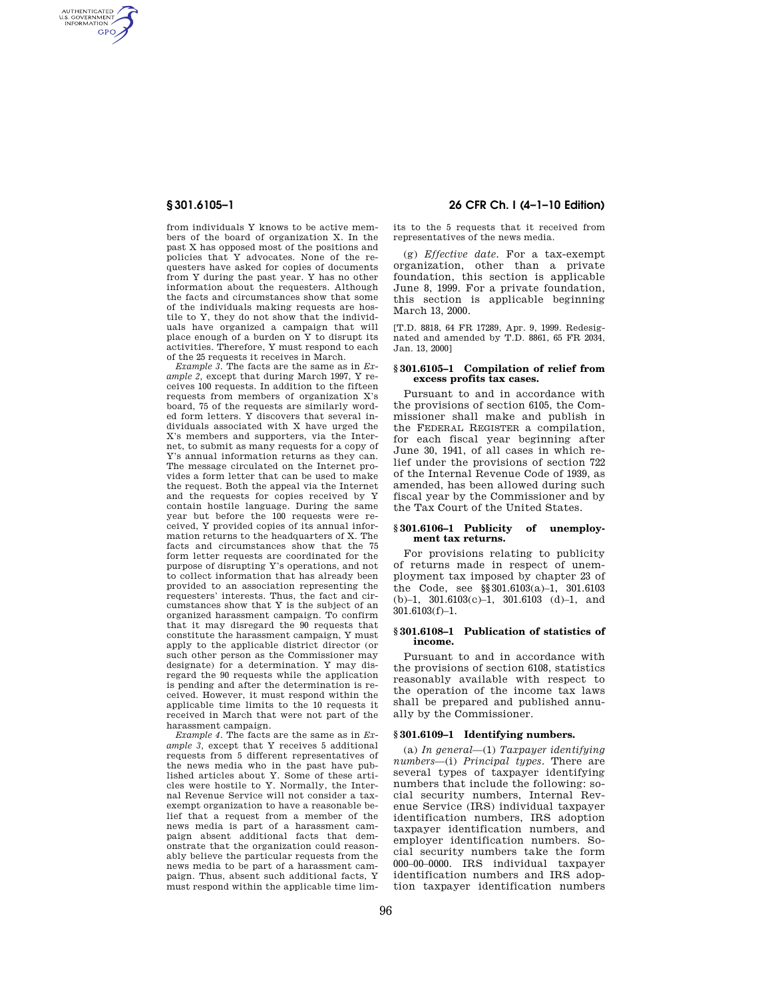AUTHENTICATED<br>U.S. GOVERNMENT<br>INFORMATION **GPO** 

> from individuals Y knows to be active members of the board of organization X. In the past X has opposed most of the positions and policies that Y advocates. None of the requesters have asked for copies of documents from Y during the past year. Y has no other information about the requesters. Although the facts and circumstances show that some of the individuals making requests are hostile to Y, they do not show that the individuals have organized a campaign that will place enough of a burden on Y to disrupt its activities. Therefore, Y must respond to each of the 25 requests it receives in March.

> *Example 3.* The facts are the same as in *Example 2,* except that during March 1997, Y receives 100 requests. In addition to the fifteen requests from members of organization X's board, 75 of the requests are similarly worded form letters. Y discovers that several individuals associated with X have urged the X's members and supporters, via the Internet, to submit as many requests for a copy of Y's annual information returns as they can. The message circulated on the Internet provides a form letter that can be used to make the request. Both the appeal via the Internet and the requests for copies received by Y contain hostile language. During the same year but before the 100 requests were received, Y provided copies of its annual information returns to the headquarters of X. The facts and circumstances show that the 75 form letter requests are coordinated for the purpose of disrupting Y's operations, and not to collect information that has already been provided to an association representing the requesters' interests. Thus, the fact and circumstances show that Y is the subject of an organized harassment campaign. To confirm that it may disregard the 90 requests that constitute the harassment campaign, Y must apply to the applicable district director (or such other person as the Commissioner may designate) for a determination. Y may disregard the 90 requests while the application is pending and after the determination is received. However, it must respond within the applicable time limits to the 10 requests it received in March that were not part of the harassment campaign.

*Example 4.* The facts are the same as in *Example 3,* except that Y receives 5 additional requests from 5 different representatives of the news media who in the past have published articles about Y. Some of these articles were hostile to Y. Normally, the Internal Revenue Service will not consider a taxexempt organization to have a reasonable belief that a request from a member of the news media is part of a harassment campaign absent additional facts that demonstrate that the organization could reasonably believe the particular requests from the news media to be part of a harassment campaign. Thus, absent such additional facts, Y must respond within the applicable time lim-

# **§ 301.6105–1 26 CFR Ch. I (4–1–10 Edition)**

its to the 5 requests that it received from representatives of the news media.

(g) *Effective date.* For a tax-exempt organization, other than a private foundation, this section is applicable June 8, 1999. For a private foundation, this section is applicable beginning March 13, 2000.

[T.D. 8818, 64 FR 17289, Apr. 9, 1999. Redesignated and amended by T.D. 8861, 65 FR 2034, Jan. 13, 2000]

#### **§ 301.6105–1 Compilation of relief from excess profits tax cases.**

Pursuant to and in accordance with the provisions of section 6105, the Commissioner shall make and publish in the FEDERAL REGISTER a compilation, for each fiscal year beginning after June 30, 1941, of all cases in which relief under the provisions of section 722 of the Internal Revenue Code of 1939, as amended, has been allowed during such fiscal year by the Commissioner and by the Tax Court of the United States.

#### **§ 301.6106–1 Publicity of unemployment tax returns.**

For provisions relating to publicity of returns made in respect of unemployment tax imposed by chapter 23 of the Code, see §§301.6103(a)–1, 301.6103 (b)–1, 301.6103(c)–1, 301.6103 (d)–1, and 301.6103(f)–1.

#### **§ 301.6108–1 Publication of statistics of income.**

Pursuant to and in accordance with the provisions of section 6108, statistics reasonably available with respect to the operation of the income tax laws shall be prepared and published annually by the Commissioner.

## **§ 301.6109–1 Identifying numbers.**

(a) *In general*—(1) *Taxpayer identifying numbers*—(i) *Principal types.* There are several types of taxpayer identifying numbers that include the following: social security numbers, Internal Revenue Service (IRS) individual taxpayer identification numbers, IRS adoption taxpayer identification numbers, and employer identification numbers. Social security numbers take the form 000–00–0000. IRS individual taxpayer identification numbers and IRS adoption taxpayer identification numbers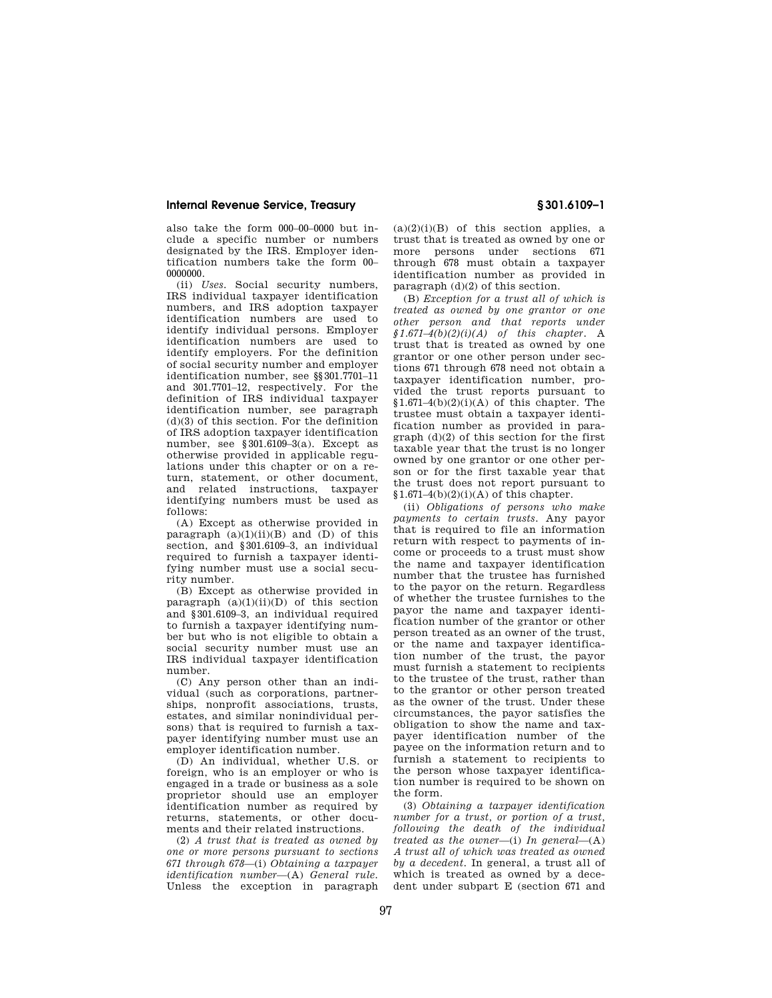also take the form 000–00–0000 but include a specific number or numbers designated by the IRS. Employer identification numbers take the form 00– 0000000.

(ii) *Uses.* Social security numbers, IRS individual taxpayer identification numbers, and IRS adoption taxpayer identification numbers are used to identify individual persons. Employer identification numbers are used to identify employers. For the definition of social security number and employer identification number, see §§301.7701–11 and 301.7701–12, respectively. For the definition of IRS individual taxpayer identification number, see paragraph  $(d)(3)$  of this section. For the definition of IRS adoption taxpayer identification number, see  $$301.6109-3(a)$ . Except as otherwise provided in applicable regulations under this chapter or on a return, statement, or other document, and related instructions, taxpayer identifying numbers must be used as follows:

(A) Except as otherwise provided in paragraph  $(a)(1)(ii)(B)$  and  $(D)$  of this section, and §301.6109–3, an individual required to furnish a taxpayer identifying number must use a social security number.

(B) Except as otherwise provided in paragraph  $(a)(1)(ii)(D)$  of this section and §301.6109–3, an individual required to furnish a taxpayer identifying number but who is not eligible to obtain a social security number must use an IRS individual taxpayer identification number.

(C) Any person other than an individual (such as corporations, partnerships, nonprofit associations, trusts, estates, and similar nonindividual persons) that is required to furnish a taxpayer identifying number must use an employer identification number.

(D) An individual, whether U.S. or foreign, who is an employer or who is engaged in a trade or business as a sole proprietor should use an employer identification number as required by returns, statements, or other documents and their related instructions.

(2) *A trust that is treated as owned by one or more persons pursuant to sections 671 through 678*—(i) *Obtaining a taxpayer identification number*—(A) *General rule.*  Unless the exception in paragraph

 $(a)(2)(i)(B)$  of this section applies, a trust that is treated as owned by one or more persons under sections 671 through 678 must obtain a taxpayer identification number as provided in paragraph (d)(2) of this section.

(B) *Exception for a trust all of which is treated as owned by one grantor or one other person and that reports under §1.671–4(b)(2)(i)(A) of this chapter.* A trust that is treated as owned by one grantor or one other person under sections 671 through 678 need not obtain a taxpayer identification number, provided the trust reports pursuant to  $$1.671-4(b)(2)(i)(A)$  of this chapter. The trustee must obtain a taxpayer identification number as provided in paragraph (d)(2) of this section for the first taxable year that the trust is no longer owned by one grantor or one other person or for the first taxable year that the trust does not report pursuant to  $$1.671-4(b)(2)(i)(A)$  of this chapter.

(ii) *Obligations of persons who make payments to certain trusts.* Any payor that is required to file an information return with respect to payments of income or proceeds to a trust must show the name and taxpayer identification number that the trustee has furnished to the payor on the return. Regardless of whether the trustee furnishes to the payor the name and taxpayer identification number of the grantor or other person treated as an owner of the trust, or the name and taxpayer identification number of the trust, the payor must furnish a statement to recipients to the trustee of the trust, rather than to the grantor or other person treated as the owner of the trust. Under these circumstances, the payor satisfies the obligation to show the name and taxpayer identification number of the payee on the information return and to furnish a statement to recipients to the person whose taxpayer identification number is required to be shown on the form.

(3) *Obtaining a taxpayer identification number for a trust, or portion of a trust, following the death of the individual treated as the owner*—(i) *In general*—(A) *A trust all of which was treated as owned by a decedent.* In general, a trust all of which is treated as owned by a decedent under subpart E (section 671 and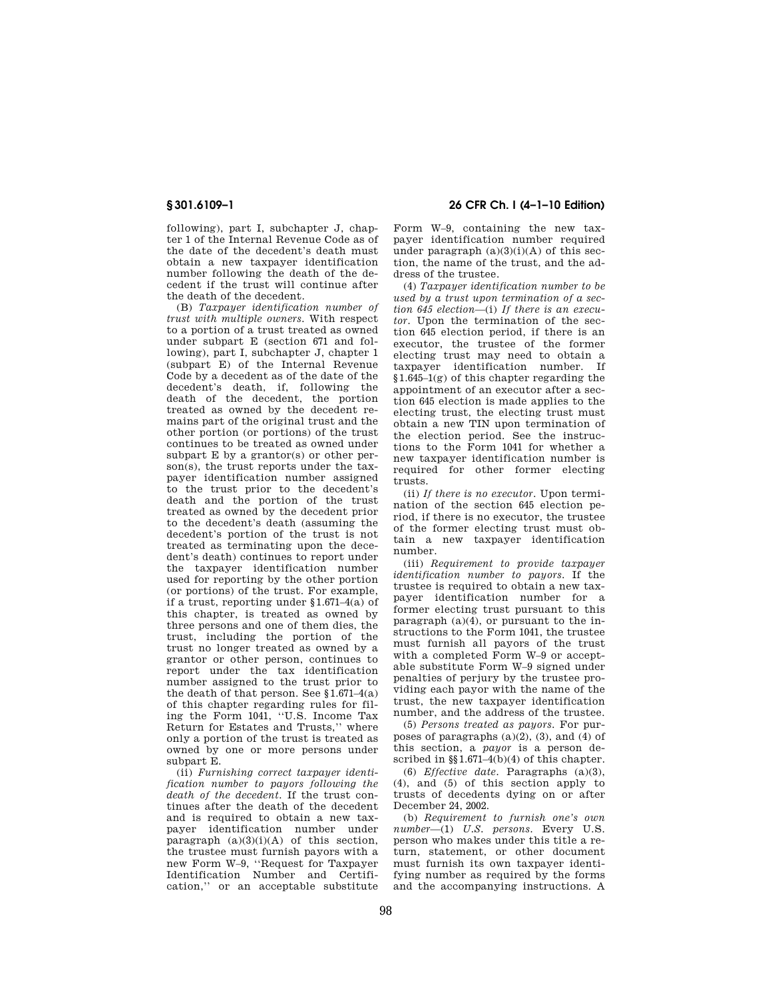following), part I, subchapter J, chapter 1 of the Internal Revenue Code as of the date of the decedent's death must obtain a new taxpayer identification number following the death of the decedent if the trust will continue after the death of the decedent.

(B) *Taxpayer identification number of trust with multiple owners.* With respect to a portion of a trust treated as owned under subpart E (section 671 and following), part I, subchapter J, chapter 1 (subpart E) of the Internal Revenue Code by a decedent as of the date of the decedent's death, if, following the death of the decedent, the portion treated as owned by the decedent remains part of the original trust and the other portion (or portions) of the trust continues to be treated as owned under subpart  $E$  by a grantor(s) or other person(s), the trust reports under the taxpayer identification number assigned to the trust prior to the decedent's death and the portion of the trust treated as owned by the decedent prior to the decedent's death (assuming the decedent's portion of the trust is not treated as terminating upon the decedent's death) continues to report under the taxpayer identification number used for reporting by the other portion (or portions) of the trust. For example, if a trust, reporting under §1.671–4(a) of this chapter, is treated as owned by three persons and one of them dies, the trust, including the portion of the trust no longer treated as owned by a grantor or other person, continues to report under the tax identification number assigned to the trust prior to the death of that person. See  $§1.671-4(a)$ of this chapter regarding rules for filing the Form 1041, ''U.S. Income Tax Return for Estates and Trusts,'' where only a portion of the trust is treated as owned by one or more persons under subpart E.

(ii) *Furnishing correct taxpayer identification number to payors following the death of the decedent.* If the trust continues after the death of the decedent and is required to obtain a new taxpayer identification number under paragraph  $(a)(3)(i)(A)$  of this section, the trustee must furnish payors with a new Form W–9, ''Request for Taxpayer Identification Number and Certification,'' or an acceptable substitute

**§ 301.6109–1 26 CFR Ch. I (4–1–10 Edition)** 

Form W–9, containing the new taxpayer identification number required under paragraph  $(a)(3)(i)(A)$  of this section, the name of the trust, and the address of the trustee.

(4) *Taxpayer identification number to be used by a trust upon termination of a section 645 election*—(i) *If there is an executor.* Upon the termination of the section 645 election period, if there is an executor, the trustee of the former electing trust may need to obtain a taxpayer identification number. If  $§1.645-1(g)$  of this chapter regarding the appointment of an executor after a section 645 election is made applies to the electing trust, the electing trust must obtain a new TIN upon termination of the election period. See the instructions to the Form 1041 for whether a new taxpayer identification number is required for other former electing trusts.

(ii) *If there is no executor.* Upon termination of the section 645 election period, if there is no executor, the trustee of the former electing trust must obtain a new taxpayer identification number.

(iii) *Requirement to provide taxpayer identification number to payors.* If the trustee is required to obtain a new taxpayer identification number for a former electing trust pursuant to this paragraph (a)(4), or pursuant to the instructions to the Form 1041, the trustee must furnish all payors of the trust with a completed Form W–9 or acceptable substitute Form W–9 signed under penalties of perjury by the trustee providing each payor with the name of the trust, the new taxpayer identification number, and the address of the trustee.

(5) *Persons treated as payors.* For purposes of paragraphs  $(a)(2)$ ,  $(3)$ , and  $(4)$  of this section, a *payor* is a person described in  $\S 1.671-4(b)(4)$  of this chapter.

(6) *Effective date.* Paragraphs (a)(3), (4), and (5) of this section apply to trusts of decedents dying on or after December 24, 2002.

(b) *Requirement to furnish one's own number*—(1) *U.S. persons.* Every U.S. person who makes under this title a return, statement, or other document must furnish its own taxpayer identifying number as required by the forms and the accompanying instructions. A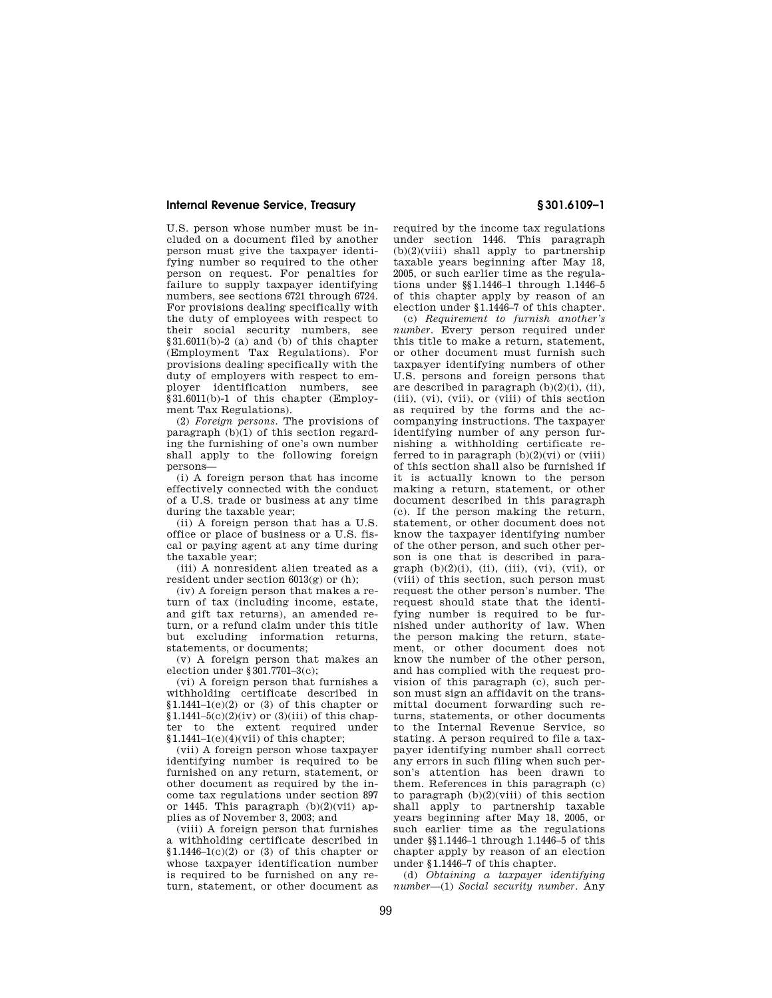U.S. person whose number must be included on a document filed by another person must give the taxpayer identifying number so required to the other person on request. For penalties for failure to supply taxpayer identifying numbers, see sections 6721 through 6724. For provisions dealing specifically with the duty of employees with respect to their social security numbers, see  $§31.6011(b)-2$  (a) and (b) of this chapter (Employment Tax Regulations). For provisions dealing specifically with the duty of employers with respect to employer identification numbers, see §31.6011(b)-1 of this chapter (Employment Tax Regulations).

(2) *Foreign persons.* The provisions of paragraph (b)(1) of this section regarding the furnishing of one's own number shall apply to the following foreign persons—

(i) A foreign person that has income effectively connected with the conduct of a U.S. trade or business at any time during the taxable year;

(ii) A foreign person that has a U.S. office or place of business or a U.S. fiscal or paying agent at any time during the taxable year;

(iii) A nonresident alien treated as a resident under section 6013(g) or (h);

(iv) A foreign person that makes a return of tax (including income, estate, and gift tax returns), an amended return, or a refund claim under this title but excluding information returns, statements, or documents;

(v) A foreign person that makes an election under §301.7701–3(c);

(vi) A foreign person that furnishes a withholding certificate described in  $$1.1441-1(e)(2)$  or (3) of this chapter or  $$1.1441-5(c)(2)(iv)$  or  $(3)(iii)$  of this chapter to the extent required under §1.1441–1(e)(4)(vii) of this chapter;

(vii) A foreign person whose taxpayer identifying number is required to be furnished on any return, statement, or other document as required by the income tax regulations under section 897 or 1445. This paragraph  $(b)(2)(vii)$  applies as of November 3, 2003; and

(viii) A foreign person that furnishes a withholding certificate described in  $$1.1446-1(c)(2)$  or (3) of this chapter or whose taxpayer identification number is required to be furnished on any return, statement, or other document as required by the income tax regulations under section 1446. This paragraph (b)(2)(viii) shall apply to partnership taxable years beginning after May 18, 2005, or such earlier time as the regulations under §§1.1446–1 through 1.1446–5 of this chapter apply by reason of an election under §1.1446–7 of this chapter.

(c) *Requirement to furnish another's number.* Every person required under this title to make a return, statement, or other document must furnish such taxpayer identifying numbers of other U.S. persons and foreign persons that are described in paragraph  $(b)(2)(i)$ ,  $(ii)$ , (iii), (vi), (vii), or (viii) of this section as required by the forms and the accompanying instructions. The taxpayer identifying number of any person furnishing a withholding certificate referred to in paragraph  $(b)(2)(vi)$  or  $(viii)$ of this section shall also be furnished if it is actually known to the person making a return, statement, or other document described in this paragraph (c). If the person making the return, statement, or other document does not know the taxpayer identifying number of the other person, and such other person is one that is described in paragraph  $(b)(2)(i)$ ,  $(ii)$ ,  $(iii)$ ,  $(vi)$ ,  $(vii)$ , or (viii) of this section, such person must request the other person's number. The request should state that the identifying number is required to be furnished under authority of law. When the person making the return, statement, or other document does not know the number of the other person, and has complied with the request provision of this paragraph (c), such person must sign an affidavit on the transmittal document forwarding such returns, statements, or other documents to the Internal Revenue Service, so stating. A person required to file a taxpayer identifying number shall correct any errors in such filing when such person's attention has been drawn to them. References in this paragraph (c) to paragraph  $(b)(2)(viii)$  of this section shall apply to partnership taxable years beginning after May 18, 2005, or such earlier time as the regulations under §§1.1446–1 through 1.1446–5 of this chapter apply by reason of an election under §1.1446–7 of this chapter.

(d) *Obtaining a taxpayer identifying number*—(1) *Social security number.* Any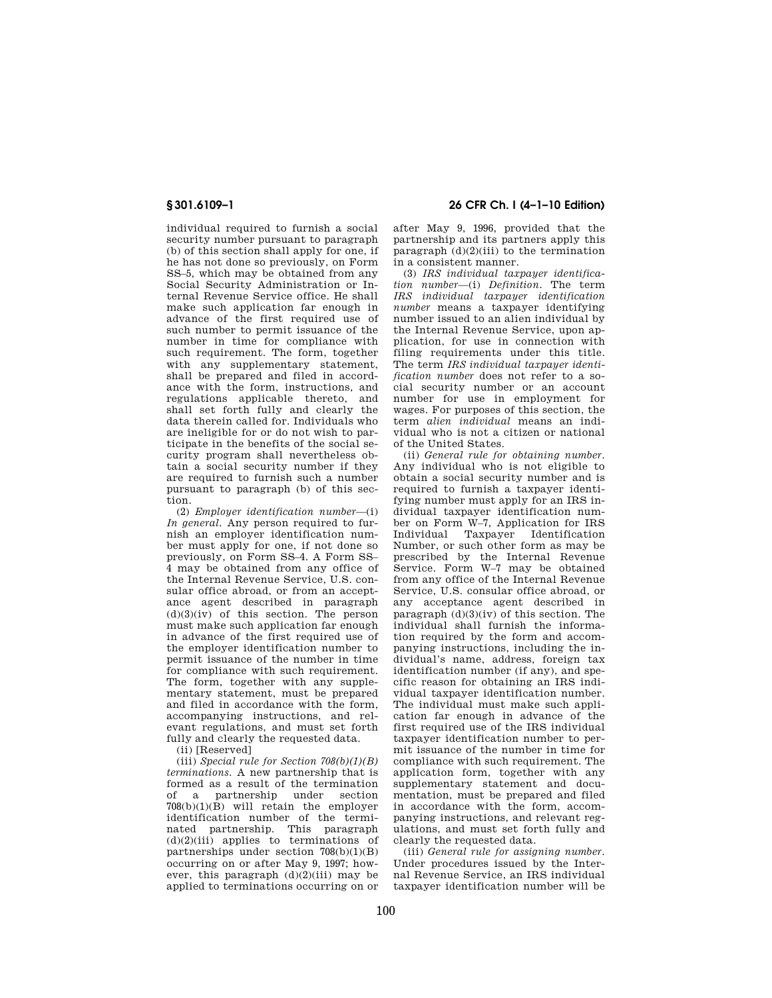individual required to furnish a social security number pursuant to paragraph (b) of this section shall apply for one, if he has not done so previously, on Form SS–5, which may be obtained from any Social Security Administration or Internal Revenue Service office. He shall make such application far enough in advance of the first required use of such number to permit issuance of the number in time for compliance with such requirement. The form, together with any supplementary statement, shall be prepared and filed in accordance with the form, instructions, and regulations applicable thereto, and shall set forth fully and clearly the data therein called for. Individuals who are ineligible for or do not wish to participate in the benefits of the social security program shall nevertheless obtain a social security number if they are required to furnish such a number pursuant to paragraph (b) of this section.

(2) *Employer identification number*—(i) *In general.* Any person required to furnish an employer identification number must apply for one, if not done so previously, on Form SS–4. A Form SS– 4 may be obtained from any office of the Internal Revenue Service, U.S. consular office abroad, or from an acceptance agent described in paragraph  $(d)(3)(iv)$  of this section. The person must make such application far enough in advance of the first required use of the employer identification number to permit issuance of the number in time for compliance with such requirement. The form, together with any supplementary statement, must be prepared and filed in accordance with the form, accompanying instructions, and relevant regulations, and must set forth fully and clearly the requested data.

(ii) [Reserved]

(iii) *Special rule for Section 708(b)(1)(B) terminations.* A new partnership that is formed as a result of the termination of a partnership under section 708(b)(1)(B) will retain the employer identification number of the terminated partnership. This paragraph  $(d)(2)(iii)$  applies to terminations of partnerships under section  $708(b)(1)(B)$ occurring on or after May  $9$ ,  $1997$ ; however, this paragraph  $(d)(2)(iii)$  may be applied to terminations occurring on or

**§ 301.6109–1 26 CFR Ch. I (4–1–10 Edition)** 

after May 9, 1996, provided that the partnership and its partners apply this paragraph  $(d)(2)(iii)$  to the termination in a consistent manner.

(3) *IRS individual taxpayer identification number*—(i) *Definition.* The term *IRS individual taxpayer identification number* means a taxpayer identifying number issued to an alien individual by the Internal Revenue Service, upon application, for use in connection with filing requirements under this title. The term *IRS individual taxpayer identification number* does not refer to a social security number or an account number for use in employment for wages. For purposes of this section, the term *alien individual* means an individual who is not a citizen or national of the United States.

(ii) *General rule for obtaining number.*  Any individual who is not eligible to obtain a social security number and is required to furnish a taxpayer identifying number must apply for an IRS individual taxpayer identification number on Form W–7, Application for IRS Individual Taxpayer Identification Number, or such other form as may be prescribed by the Internal Revenue Service. Form W–7 may be obtained from any office of the Internal Revenue Service, U.S. consular office abroad, or any acceptance agent described in paragraph  $(d)(3)(iv)$  of this section. The individual shall furnish the information required by the form and accompanying instructions, including the individual's name, address, foreign tax identification number (if any), and specific reason for obtaining an IRS individual taxpayer identification number. The individual must make such application far enough in advance of the first required use of the IRS individual taxpayer identification number to permit issuance of the number in time for compliance with such requirement. The application form, together with any supplementary statement and documentation, must be prepared and filed in accordance with the form, accompanying instructions, and relevant regulations, and must set forth fully and clearly the requested data.

(iii) *General rule for assigning number.*  Under procedures issued by the Internal Revenue Service, an IRS individual taxpayer identification number will be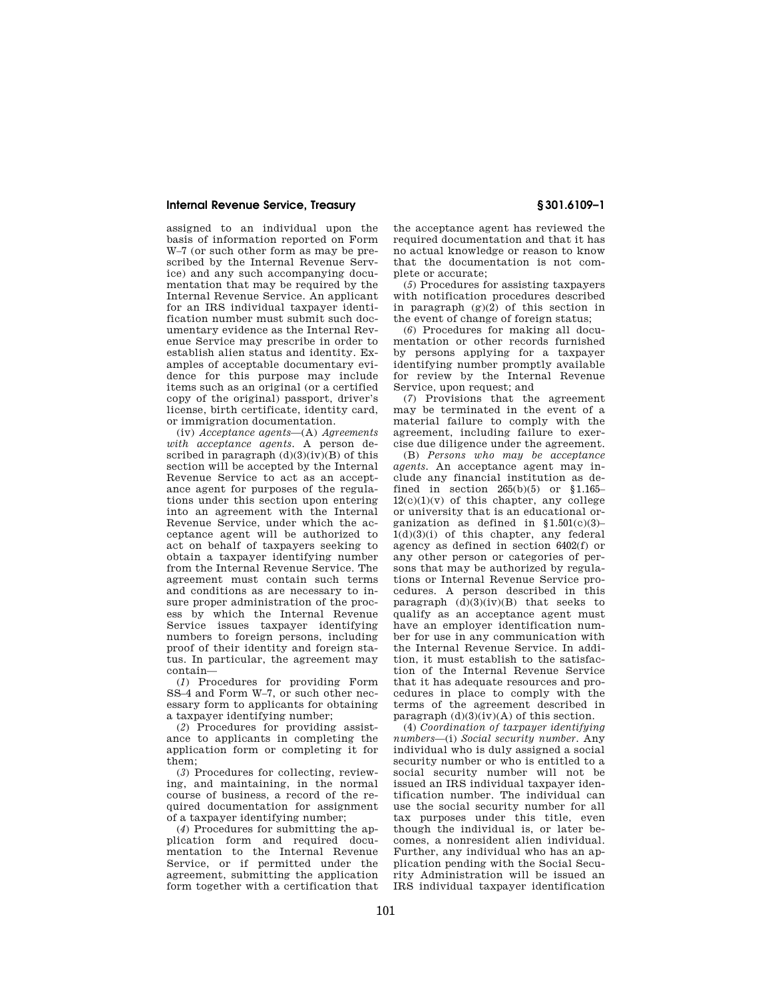assigned to an individual upon the basis of information reported on Form W–7 (or such other form as may be prescribed by the Internal Revenue Service) and any such accompanying documentation that may be required by the Internal Revenue Service. An applicant for an IRS individual taxpayer identification number must submit such documentary evidence as the Internal Revenue Service may prescribe in order to establish alien status and identity. Examples of acceptable documentary evidence for this purpose may include items such as an original (or a certified copy of the original) passport, driver's license, birth certificate, identity card, or immigration documentation.

(iv) *Acceptance agents*—(A) *Agreements with acceptance agents.* A person described in paragraph  $(d)(3)(iv)(B)$  of this section will be accepted by the Internal Revenue Service to act as an acceptance agent for purposes of the regulations under this section upon entering into an agreement with the Internal Revenue Service, under which the acceptance agent will be authorized to act on behalf of taxpayers seeking to obtain a taxpayer identifying number from the Internal Revenue Service. The agreement must contain such terms and conditions as are necessary to insure proper administration of the process by which the Internal Revenue Service issues taxpayer identifying numbers to foreign persons, including proof of their identity and foreign status. In particular, the agreement may contain—

(*1*) Procedures for providing Form SS–4 and Form W–7, or such other necessary form to applicants for obtaining a taxpayer identifying number;

(*2*) Procedures for providing assistance to applicants in completing the application form or completing it for them;

(*3*) Procedures for collecting, reviewing, and maintaining, in the normal course of business, a record of the required documentation for assignment of a taxpayer identifying number;

(*4*) Procedures for submitting the application form and required documentation to the Internal Revenue Service, or if permitted under the agreement, submitting the application form together with a certification that

the acceptance agent has reviewed the required documentation and that it has no actual knowledge or reason to know that the documentation is not complete or accurate;

(*5*) Procedures for assisting taxpayers with notification procedures described in paragraph  $(g)(2)$  of this section in the event of change of foreign status;

(*6*) Procedures for making all documentation or other records furnished by persons applying for a taxpayer identifying number promptly available for review by the Internal Revenue Service, upon request; and

(*7*) Provisions that the agreement may be terminated in the event of a material failure to comply with the agreement, including failure to exercise due diligence under the agreement.

(B) *Persons who may be acceptance agents.* An acceptance agent may include any financial institution as defined in section 265(b)(5) or §1.165–  $12(c)(1)(y)$  of this chapter, any college or university that is an educational organization as defined in §1.501(c)(3)– 1(d)(3)(i) of this chapter, any federal agency as defined in section 6402(f) or any other person or categories of persons that may be authorized by regulations or Internal Revenue Service procedures. A person described in this paragraph  $(d)(3)(iv)(B)$  that seeks to qualify as an acceptance agent must have an employer identification number for use in any communication with the Internal Revenue Service. In addition, it must establish to the satisfaction of the Internal Revenue Service that it has adequate resources and procedures in place to comply with the terms of the agreement described in paragraph  $(d)(3)(iv)(A)$  of this section.

(4) *Coordination of taxpayer identifying numbers*—(i) *Social security number.* Any individual who is duly assigned a social security number or who is entitled to a social security number will not be issued an IRS individual taxpayer identification number. The individual can use the social security number for all tax purposes under this title, even though the individual is, or later becomes, a nonresident alien individual. Further, any individual who has an application pending with the Social Security Administration will be issued an IRS individual taxpayer identification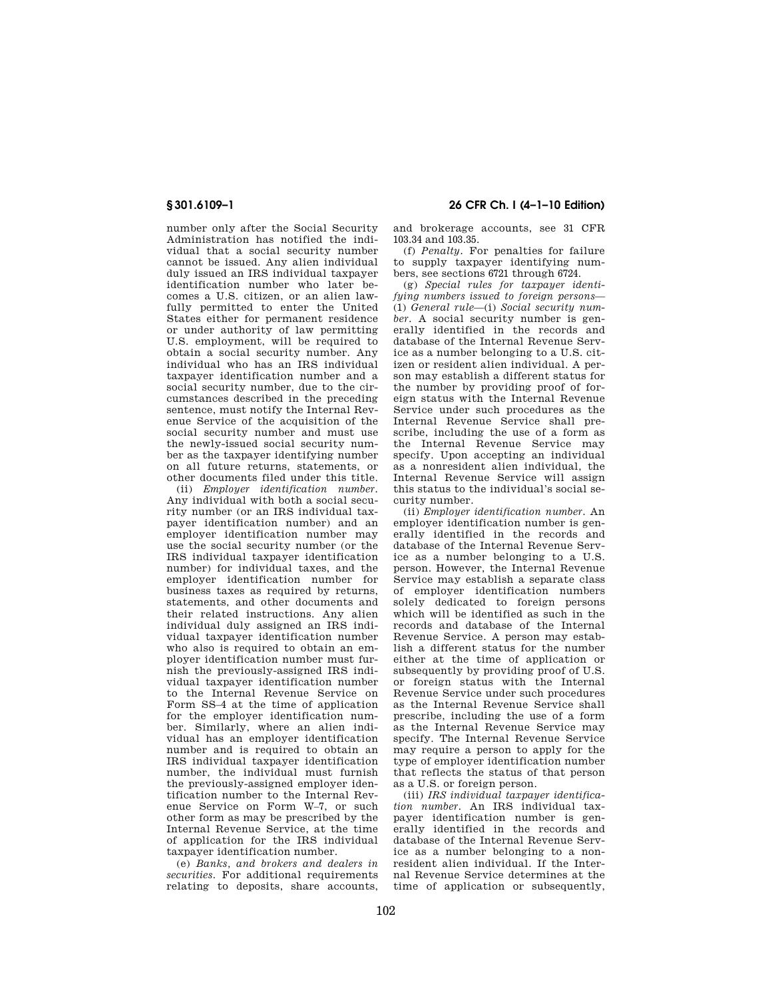number only after the Social Security Administration has notified the individual that a social security number cannot be issued. Any alien individual duly issued an IRS individual taxpayer identification number who later becomes a U.S. citizen, or an alien lawfully permitted to enter the United States either for permanent residence or under authority of law permitting U.S. employment, will be required to obtain a social security number. Any individual who has an IRS individual taxpayer identification number and a social security number, due to the circumstances described in the preceding sentence, must notify the Internal Revenue Service of the acquisition of the social security number and must use the newly-issued social security number as the taxpayer identifying number on all future returns, statements, or other documents filed under this title.

(ii) *Employer identification number.*  Any individual with both a social security number (or an IRS individual taxpayer identification number) and an employer identification number may use the social security number (or the IRS individual taxpayer identification number) for individual taxes, and the employer identification number for business taxes as required by returns, statements, and other documents and their related instructions. Any alien individual duly assigned an IRS individual taxpayer identification number who also is required to obtain an employer identification number must furnish the previously-assigned IRS individual taxpayer identification number to the Internal Revenue Service on Form SS–4 at the time of application for the employer identification number. Similarly, where an alien individual has an employer identification number and is required to obtain an IRS individual taxpayer identification number, the individual must furnish the previously-assigned employer identification number to the Internal Revenue Service on Form W–7, or such other form as may be prescribed by the Internal Revenue Service, at the time of application for the IRS individual taxpayer identification number.

(e) *Banks, and brokers and dealers in securities.* For additional requirements relating to deposits, share accounts,

**§ 301.6109–1 26 CFR Ch. I (4–1–10 Edition)** 

and brokerage accounts, see 31 CFR 103.34 and 103.35.

(f) *Penalty.* For penalties for failure to supply taxpayer identifying numbers, see sections 6721 through 6724.

(g) *Special rules for taxpayer identifying numbers issued to foreign persons*— (1) *General rule*—(i) *Social security number.* A social security number is generally identified in the records and database of the Internal Revenue Service as a number belonging to a U.S. citizen or resident alien individual. A person may establish a different status for the number by providing proof of foreign status with the Internal Revenue Service under such procedures as the Internal Revenue Service shall prescribe, including the use of a form as the Internal Revenue Service may specify. Upon accepting an individual as a nonresident alien individual, the Internal Revenue Service will assign this status to the individual's social security number.

(ii) *Employer identification number.* An employer identification number is generally identified in the records and database of the Internal Revenue Service as a number belonging to a U.S. person. However, the Internal Revenue Service may establish a separate class of employer identification numbers solely dedicated to foreign persons which will be identified as such in the records and database of the Internal Revenue Service. A person may establish a different status for the number either at the time of application or subsequently by providing proof of U.S. or foreign status with the Internal Revenue Service under such procedures as the Internal Revenue Service shall prescribe, including the use of a form as the Internal Revenue Service may specify. The Internal Revenue Service may require a person to apply for the type of employer identification number that reflects the status of that person as a U.S. or foreign person.

(iii) *IRS individual taxpayer identification number.* An IRS individual taxpayer identification number is generally identified in the records and database of the Internal Revenue Service as a number belonging to a nonresident alien individual. If the Internal Revenue Service determines at the time of application or subsequently,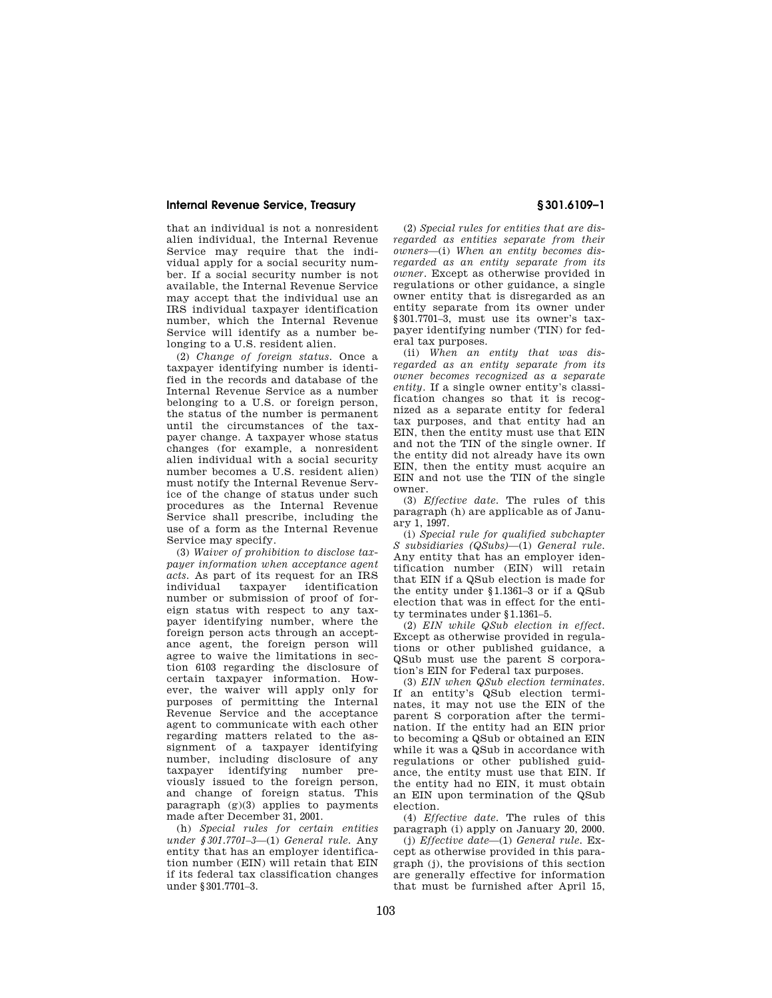that an individual is not a nonresident alien individual, the Internal Revenue Service may require that the individual apply for a social security number. If a social security number is not available, the Internal Revenue Service may accept that the individual use an IRS individual taxpayer identification number, which the Internal Revenue Service will identify as a number belonging to a U.S. resident alien.

(2) *Change of foreign status.* Once a taxpayer identifying number is identified in the records and database of the Internal Revenue Service as a number belonging to a U.S. or foreign person, the status of the number is permanent until the circumstances of the taxpayer change. A taxpayer whose status changes (for example, a nonresident alien individual with a social security number becomes a U.S. resident alien) must notify the Internal Revenue Service of the change of status under such procedures as the Internal Revenue Service shall prescribe, including the use of a form as the Internal Revenue Service may specify.

(3) *Waiver of prohibition to disclose taxpayer information when acceptance agent acts.* As part of its request for an IRS individual taxpayer identification number or submission of proof of foreign status with respect to any taxpayer identifying number, where the foreign person acts through an acceptance agent, the foreign person will agree to waive the limitations in section 6103 regarding the disclosure of certain taxpayer information. However, the waiver will apply only for purposes of permitting the Internal Revenue Service and the acceptance agent to communicate with each other regarding matters related to the assignment of a taxpayer identifying number, including disclosure of any taxpayer identifying number previously issued to the foreign person, and change of foreign status. This paragraph (g)(3) applies to payments made after December 31, 2001.

(h) *Special rules for certain entities under §301.7701–3*—(1) *General rule.* Any entity that has an employer identification number (EIN) will retain that EIN if its federal tax classification changes under §301.7701–3.

(2) *Special rules for entities that are disregarded as entities separate from their owners*—(i) *When an entity becomes disregarded as an entity separate from its owner.* Except as otherwise provided in regulations or other guidance, a single owner entity that is disregarded as an entity separate from its owner under §301.7701–3, must use its owner's taxpayer identifying number (TIN) for federal tax purposes.

(ii) *When an entity that was disregarded as an entity separate from its owner becomes recognized as a separate entity.* If a single owner entity's classification changes so that it is recognized as a separate entity for federal tax purposes, and that entity had an EIN, then the entity must use that EIN and not the TIN of the single owner. If the entity did not already have its own EIN, then the entity must acquire an EIN and not use the TIN of the single owner.

(3) *Effective date.* The rules of this paragraph (h) are applicable as of January 1, 1997.

(i) *Special rule for qualified subchapter S subsidiaries (QSubs)*—(1) *General rule.*  Any entity that has an employer identification number (EIN) will retain that EIN if a QSub election is made for the entity under §1.1361–3 or if a QSub election that was in effect for the entity terminates under §1.1361–5.

(2) *EIN while QSub election in effect.*  Except as otherwise provided in regulations or other published guidance, a QSub must use the parent S corporation's EIN for Federal tax purposes.

(3) *EIN when QSub election terminates.*  If an entity's QSub election terminates, it may not use the EIN of the parent S corporation after the termination. If the entity had an EIN prior to becoming a QSub or obtained an EIN while it was a QSub in accordance with regulations or other published guidance, the entity must use that EIN. If the entity had no EIN, it must obtain an EIN upon termination of the QSub election.

(4) *Effective date.* The rules of this paragraph (i) apply on January 20, 2000.

(j) *Effective date*—(1) *General rule.* Except as otherwise provided in this paragraph (j), the provisions of this section are generally effective for information that must be furnished after April 15,